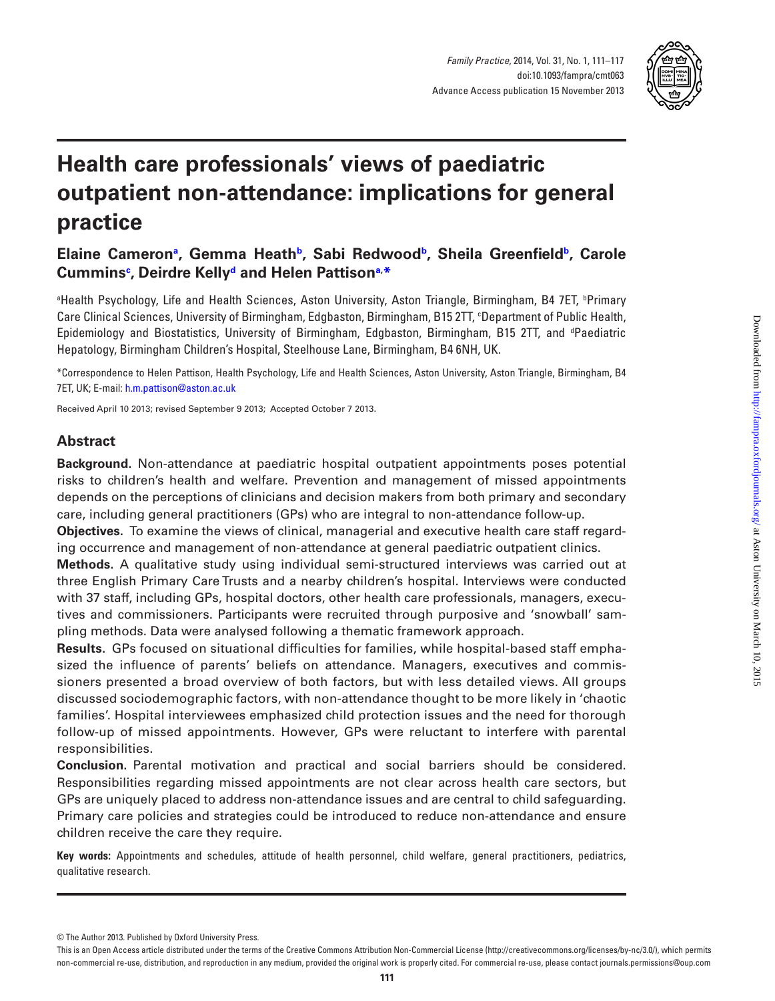

# **Health care professionals' views of paediatric outpatient non-attendance: implications for general practice**

# **Elaine Cameron<sup>a</sup>, Gemma Heath<sup>b</sup>, Sabi Redwood<sup>b</sup>, Sheila Greenfield<sup>b</sup>, Carole Cummins[c](#page-0-3) , Deirdre Kell[yd](#page-0-3) and Helen Pattison[a,](#page-0-3) [\\*](#page-0-4)**

<span id="page-0-3"></span><span id="page-0-2"></span><span id="page-0-1"></span><span id="page-0-0"></span><sup>a</sup>Health Psychology, Life and Health Sciences, Aston University, Aston Triangle, Birmingham, B4 7ET, <sup>b</sup>Primary Care Clinical Sciences, University of Birmingham, Edgbaston, Birmingham, B15 2TT, c Department of Public Health, Epidemiology and Biostatistics, University of Birmingham, Edgbaston, Birmingham, B15 2TT, and <sup>a</sup>Paediatric Hepatology, Birmingham Children's Hospital, Steelhouse Lane, Birmingham, B4 6NH, UK.

<span id="page-0-4"></span>\*Correspondence to Helen Pattison, Health Psychology, Life and Health Sciences, Aston University, Aston Triangle, Birmingham, B4 7ET, UK; E-mail: [h.m.pattison@aston.ac.uk](mailto:h.m.pattison@aston.ac.uk?subject=)

Received April 10 2013; revised September 9 2013; Accepted October 7 2013.

# **Abstract**

**Background.** Non-attendance at paediatric hospital outpatient appointments poses potential risks to children's health and welfare. Prevention and management of missed appointments depends on the perceptions of clinicians and decision makers from both primary and secondary care, including general practitioners (GPs) who are integral to non-attendance follow-up.

**Objectives.** To examine the views of clinical, managerial and executive health care staff regarding occurrence and management of non-attendance at general paediatric outpatient clinics.

**Methods.** A qualitative study using individual semi-structured interviews was carried out at three English Primary Care Trusts and a nearby children's hospital. Interviews were conducted with 37 staff, including GPs, hospital doctors, other health care professionals, managers, executives and commissioners. Participants were recruited through purposive and 'snowball' sampling methods. Data were analysed following a thematic framework approach.

**Results.** GPs focused on situational difficulties for families, while hospital-based staff emphasized the influence of parents' beliefs on attendance. Managers, executives and commissioners presented a broad overview of both factors, but with less detailed views. All groups discussed sociodemographic factors, with non-attendance thought to be more likely in 'chaotic families'. Hospital interviewees emphasized child protection issues and the need for thorough follow-up of missed appointments. However, GPs were reluctant to interfere with parental responsibilities.

**Conclusion.** Parental motivation and practical and social barriers should be considered. Responsibilities regarding missed appointments are not clear across health care sectors, but GPs are uniquely placed to address non-attendance issues and are central to child safeguarding. Primary care policies and strategies could be introduced to reduce non-attendance and ensure children receive the care they require.

**Key words:** Appointments and schedules, attitude of health personnel, child welfare, general practitioners, pediatrics, qualitative research.

© The Author 2013. Published by Oxford University Press.

This is an Open Access article distributed under the terms of the Creative Commons Attribution Non-Commercial License (http://creativecommons.org/licenses/by-nc/3.0/), which permits non-commercial re-use, distribution, and reproduction in any medium, provided the original work is properly cited. For commercial re-use, please contact journals.permissions@oup.com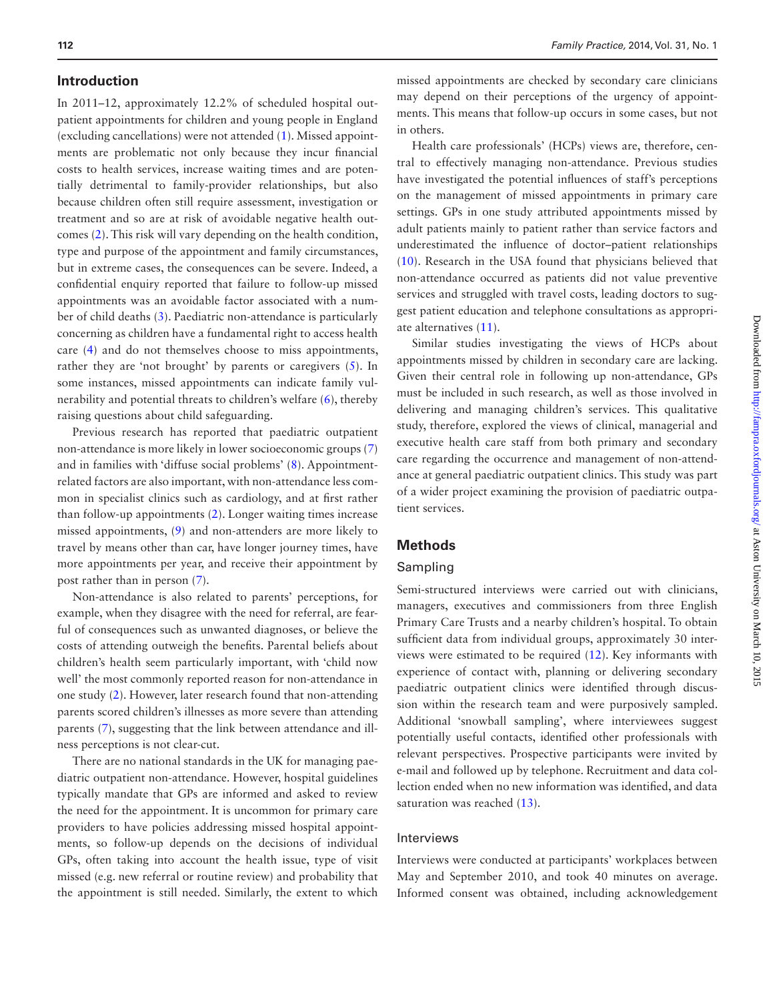#### **Introduction**

In 2011–12, approximately 12.2% of scheduled hospital outpatient appointments for children and young people in England (excluding cancellations) were not attended ([1](#page-6-0)). Missed appointments are problematic not only because they incur financial costs to health services, increase waiting times and are potentially detrimental to family-provider relationships, but also because children often still require assessment, investigation or treatment and so are at risk of avoidable negative health outcomes [\(2](#page-6-1)). This risk will vary depending on the health condition, type and purpose of the appointment and family circumstances, but in extreme cases, the consequences can be severe. Indeed, a confidential enquiry reported that failure to follow-up missed appointments was an avoidable factor associated with a number of child deaths ([3\)](#page-6-2). Paediatric non-attendance is particularly concerning as children have a fundamental right to access health care ([4\)](#page-6-3) and do not themselves choose to miss appointments, rather they are 'not brought' by parents or caregivers ([5](#page-6-4)). In some instances, missed appointments can indicate family vulnerability and potential threats to children's welfare [\(6](#page-6-5)), thereby raising questions about child safeguarding.

Previous research has reported that paediatric outpatient non-attendance is more likely in lower socioeconomic groups ([7\)](#page-6-6) and in families with 'diffuse social problems' ([8](#page-6-7)). Appointmentrelated factors are also important, with non-attendance less common in specialist clinics such as cardiology, and at first rather than follow-up appointments [\(2\)](#page-6-1). Longer waiting times increase missed appointments, [\(9](#page-6-8)) and non-attenders are more likely to travel by means other than car, have longer journey times, have more appointments per year, and receive their appointment by post rather than in person ([7\)](#page-6-6).

Non-attendance is also related to parents' perceptions, for example, when they disagree with the need for referral, are fearful of consequences such as unwanted diagnoses, or believe the costs of attending outweigh the benefits. Parental beliefs about children's health seem particularly important, with 'child now well' the most commonly reported reason for non-attendance in one study [\(2](#page-6-1)). However, later research found that non-attending parents scored children's illnesses as more severe than attending parents [\(7](#page-6-6)), suggesting that the link between attendance and illness perceptions is not clear-cut.

There are no national standards in the UK for managing paediatric outpatient non-attendance. However, hospital guidelines typically mandate that GPs are informed and asked to review the need for the appointment. It is uncommon for primary care providers to have policies addressing missed hospital appointments, so follow-up depends on the decisions of individual GPs, often taking into account the health issue, type of visit missed (e.g. new referral or routine review) and probability that the appointment is still needed. Similarly, the extent to which

missed appointments are checked by secondary care clinicians may depend on their perceptions of the urgency of appointments. This means that follow-up occurs in some cases, but not in others.

Health care professionals' (HCPs) views are, therefore, central to effectively managing non-attendance. Previous studies have investigated the potential influences of staff's perceptions on the management of missed appointments in primary care settings. GPs in one study attributed appointments missed by adult patients mainly to patient rather than service factors and underestimated the influence of doctor–patient relationships ([10](#page-6-9)). Research in the USA found that physicians believed that non-attendance occurred as patients did not value preventive services and struggled with travel costs, leading doctors to suggest patient education and telephone consultations as appropriate alternatives ([11\)](#page-6-10).

Similar studies investigating the views of HCPs about appointments missed by children in secondary care are lacking. Given their central role in following up non-attendance, GPs must be included in such research, as well as those involved in delivering and managing children's services. This qualitative study, therefore, explored the views of clinical, managerial and executive health care staff from both primary and secondary care regarding the occurrence and management of non-attendance at general paediatric outpatient clinics. This study was part of a wider project examining the provision of paediatric outpatient services.

#### **Methods**

#### Sampling

Semi-structured interviews were carried out with clinicians, managers, executives and commissioners from three English Primary Care Trusts and a nearby children's hospital. To obtain sufficient data from individual groups, approximately 30 interviews were estimated to be required [\(12\)](#page-6-11). Key informants with experience of contact with, planning or delivering secondary paediatric outpatient clinics were identified through discussion within the research team and were purposively sampled. Additional 'snowball sampling', where interviewees suggest potentially useful contacts, identified other professionals with relevant perspectives. Prospective participants were invited by e-mail and followed up by telephone. Recruitment and data collection ended when no new information was identified, and data saturation was reached  $(13)$ .

#### Interviews

Interviews were conducted at participants' workplaces between May and September 2010, and took 40 minutes on average. Informed consent was obtained, including acknowledgement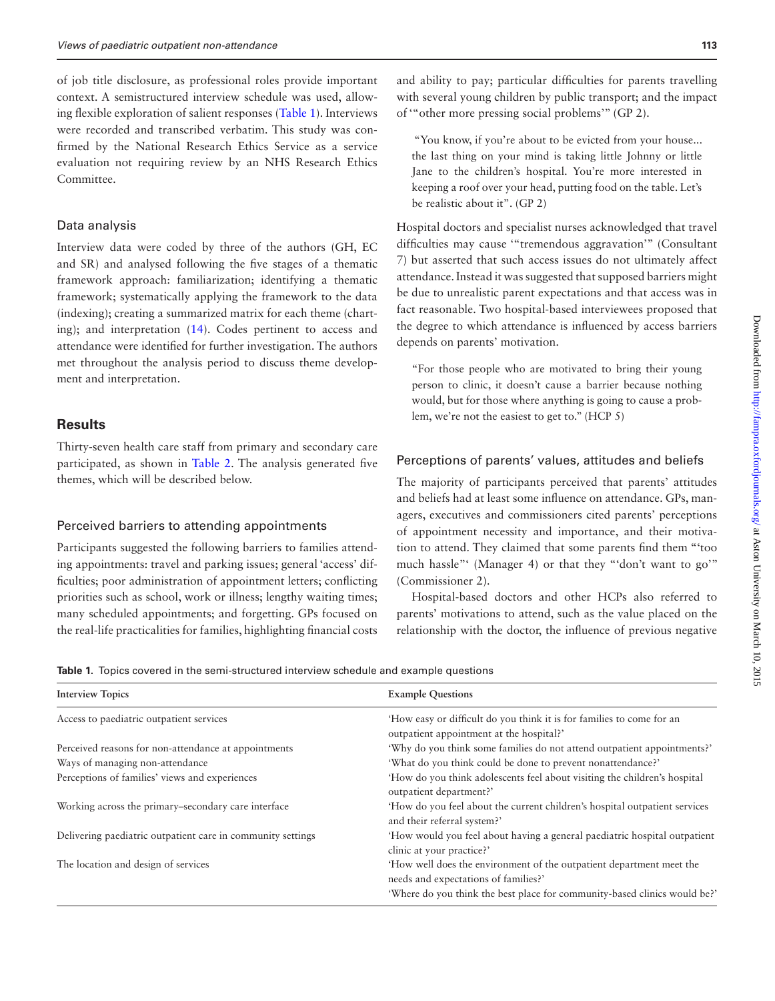of job title disclosure, as professional roles provide important context. A semistructured interview schedule was used, allowing flexible exploration of salient responses ([Table 1\)](#page-2-0). Interviews were recorded and transcribed verbatim. This study was confirmed by the National Research Ethics Service as a service evaluation not requiring review by an NHS Research Ethics Committee.

#### Data analysis

Interview data were coded by three of the authors (GH, EC and SR) and analysed following the five stages of a thematic framework approach: familiarization; identifying a thematic framework; systematically applying the framework to the data (indexing); creating a summarized matrix for each theme (charting); and interpretation ([14\)](#page-6-13). Codes pertinent to access and attendance were identified for further investigation. The authors met throughout the analysis period to discuss theme development and interpretation.

### **Results**

Thirty-seven health care staff from primary and secondary care participated, as shown in [Table 2](#page-3-0). The analysis generated five themes, which will be described below.

#### Perceived barriers to attending appointments

Participants suggested the following barriers to families attending appointments: travel and parking issues; general 'access' difficulties; poor administration of appointment letters; conflicting priorities such as school, work or illness; lengthy waiting times; many scheduled appointments; and forgetting. GPs focused on the real-life practicalities for families, highlighting financial costs and ability to pay; particular difficulties for parents travelling with several young children by public transport; and the impact of '"other more pressing social problems'" (GP 2).

 "You know, if you're about to be evicted from your house... the last thing on your mind is taking little Johnny or little Jane to the children's hospital. You're more interested in keeping a roof over your head, putting food on the table. Let's be realistic about it". (GP 2)

Hospital doctors and specialist nurses acknowledged that travel difficulties may cause '"tremendous aggravation'" (Consultant 7) but asserted that such access issues do not ultimately affect attendance. Instead it was suggested that supposed barriers might be due to unrealistic parent expectations and that access was in fact reasonable. Two hospital-based interviewees proposed that the degree to which attendance is influenced by access barriers depends on parents' motivation.

"For those people who are motivated to bring their young person to clinic, it doesn't cause a barrier because nothing would, but for those where anything is going to cause a problem, we're not the easiest to get to." (HCP 5)

#### Perceptions of parents' values, attitudes and beliefs

The majority of participants perceived that parents' attitudes and beliefs had at least some influence on attendance. GPs, managers, executives and commissioners cited parents' perceptions of appointment necessity and importance, and their motivation to attend. They claimed that some parents find them "'too much hassle"' (Manager 4) or that they "'don't want to go'" (Commissioner 2).

Hospital-based doctors and other HCPs also referred to parents' motivations to attend, such as the value placed on the relationship with the doctor, the influence of previous negative

<span id="page-2-0"></span>**Table 1.** Topics covered in the semi-structured interview schedule and example questions

| <b>Example Questions</b>                                                                                                                                                                  |
|-------------------------------------------------------------------------------------------------------------------------------------------------------------------------------------------|
| 'How easy or difficult do you think it is for families to come for an<br>outpatient appointment at the hospital?'                                                                         |
| 'Why do you think some families do not attend outpatient appointments?'                                                                                                                   |
| 'What do you think could be done to prevent nonattendance?'                                                                                                                               |
| 'How do you think adolescents feel about visiting the children's hospital<br>outpatient department?'                                                                                      |
| 'How do you feel about the current children's hospital outpatient services<br>and their referral system?'                                                                                 |
| 'How would you feel about having a general paediatric hospital outpatient<br>clinic at your practice?'                                                                                    |
| 'How well does the environment of the outpatient department meet the<br>needs and expectations of families?'<br>'Where do you think the best place for community-based clinics would be?' |
|                                                                                                                                                                                           |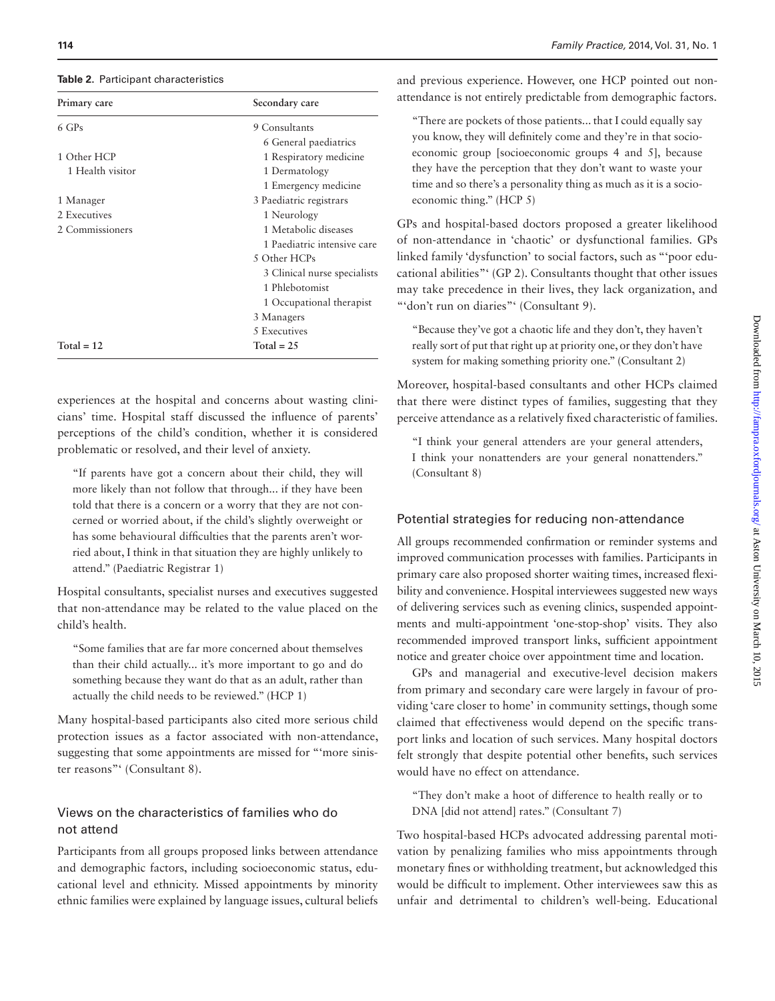<span id="page-3-0"></span>**Table 2.** Participant characteristics

| Primary care     | Secondary care               |
|------------------|------------------------------|
| $6$ GPs          | 9 Consultants                |
|                  | 6 General paediatrics        |
| 1 Other HCP      | 1 Respiratory medicine       |
| 1 Health visitor | 1 Dermatology                |
|                  | 1 Emergency medicine         |
| 1 Manager        | 3 Paediatric registrars      |
| 2 Executives     | 1 Neurology                  |
| 2 Commissioners  | 1 Metabolic diseases         |
|                  | 1 Paediatric intensive care  |
|                  | 5 Other HCPs                 |
|                  | 3 Clinical nurse specialists |
|                  | 1 Phlebotomist               |
|                  | 1 Occupational therapist     |
|                  | 3 Managers                   |
|                  | 5 Executives                 |
| $Total = 12$     | Total = $25$                 |

experiences at the hospital and concerns about wasting clinicians' time. Hospital staff discussed the influence of parents' perceptions of the child's condition, whether it is considered problematic or resolved, and their level of anxiety.

"If parents have got a concern about their child, they will more likely than not follow that through... if they have been told that there is a concern or a worry that they are not concerned or worried about, if the child's slightly overweight or has some behavioural difficulties that the parents aren't worried about, I think in that situation they are highly unlikely to attend." (Paediatric Registrar 1)

Hospital consultants, specialist nurses and executives suggested that non-attendance may be related to the value placed on the child's health.

"Some families that are far more concerned about themselves than their child actually... it's more important to go and do something because they want do that as an adult, rather than actually the child needs to be reviewed." (HCP 1)

Many hospital-based participants also cited more serious child protection issues as a factor associated with non-attendance, suggesting that some appointments are missed for "'more sinister reasons"' (Consultant 8).

# Views on the characteristics of families who do not attend

Participants from all groups proposed links between attendance and demographic factors, including socioeconomic status, educational level and ethnicity. Missed appointments by minority ethnic families were explained by language issues, cultural beliefs and previous experience. However, one HCP pointed out nonattendance is not entirely predictable from demographic factors.

"There are pockets of those patients... that I could equally say you know, they will definitely come and they're in that socioeconomic group [socioeconomic groups 4 and 5], because they have the perception that they don't want to waste your time and so there's a personality thing as much as it is a socioeconomic thing." (HCP 5)

GPs and hospital-based doctors proposed a greater likelihood of non-attendance in 'chaotic' or dysfunctional families. GPs linked family 'dysfunction' to social factors, such as "'poor educational abilities"' (GP 2). Consultants thought that other issues may take precedence in their lives, they lack organization, and "'don't run on diaries"' (Consultant 9).

"Because they've got a chaotic life and they don't, they haven't really sort of put that right up at priority one, or they don't have system for making something priority one." (Consultant 2)

Moreover, hospital-based consultants and other HCPs claimed that there were distinct types of families, suggesting that they perceive attendance as a relatively fixed characteristic of families.

"I think your general attenders are your general attenders, I think your nonattenders are your general nonattenders." (Consultant 8)

#### Potential strategies for reducing non-attendance

All groups recommended confirmation or reminder systems and improved communication processes with families. Participants in primary care also proposed shorter waiting times, increased flexibility and convenience. Hospital interviewees suggested new ways of delivering services such as evening clinics, suspended appointments and multi-appointment 'one-stop-shop' visits. They also recommended improved transport links, sufficient appointment notice and greater choice over appointment time and location.

GPs and managerial and executive-level decision makers from primary and secondary care were largely in favour of providing 'care closer to home' in community settings, though some claimed that effectiveness would depend on the specific transport links and location of such services. Many hospital doctors felt strongly that despite potential other benefits, such services would have no effect on attendance.

"They don't make a hoot of difference to health really or to DNA [did not attend] rates." (Consultant 7)

Two hospital-based HCPs advocated addressing parental motivation by penalizing families who miss appointments through monetary fines or withholding treatment, but acknowledged this would be difficult to implement. Other interviewees saw this as unfair and detrimental to children's well-being. Educational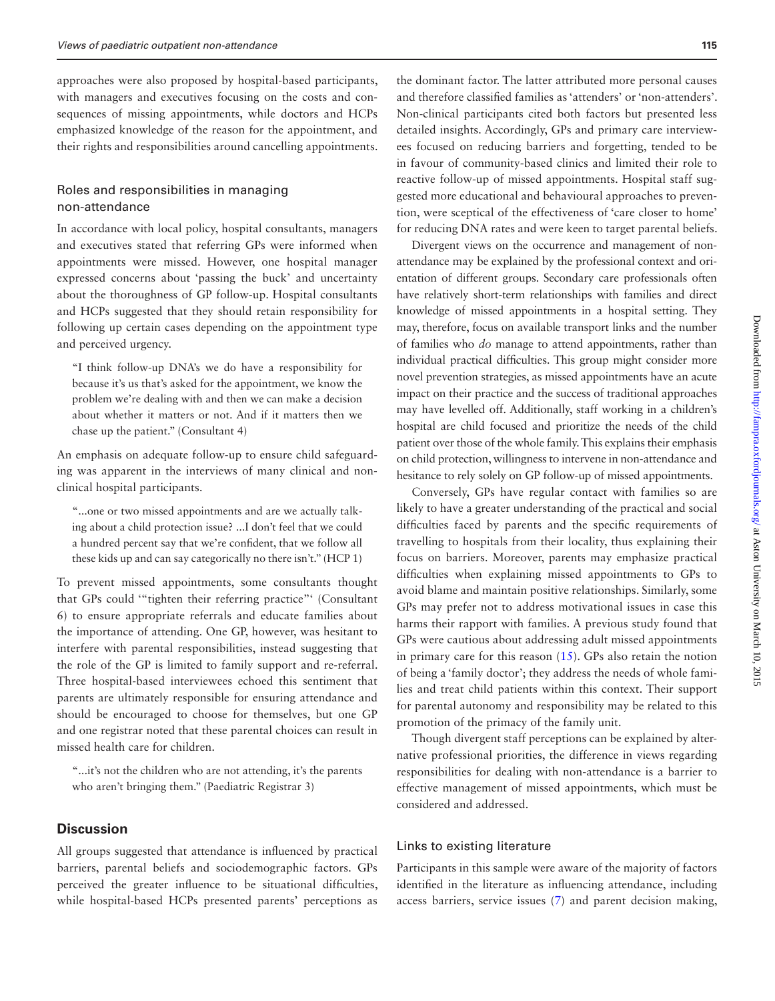approaches were also proposed by hospital-based participants, with managers and executives focusing on the costs and consequences of missing appointments, while doctors and HCPs emphasized knowledge of the reason for the appointment, and their rights and responsibilities around cancelling appointments.

## Roles and responsibilities in managing non-attendance

In accordance with local policy, hospital consultants, managers and executives stated that referring GPs were informed when appointments were missed. However, one hospital manager expressed concerns about 'passing the buck' and uncertainty about the thoroughness of GP follow-up. Hospital consultants and HCPs suggested that they should retain responsibility for following up certain cases depending on the appointment type and perceived urgency.

"I think follow-up DNA's we do have a responsibility for because it's us that's asked for the appointment, we know the problem we're dealing with and then we can make a decision about whether it matters or not. And if it matters then we chase up the patient." (Consultant 4)

An emphasis on adequate follow-up to ensure child safeguarding was apparent in the interviews of many clinical and nonclinical hospital participants.

"...one or two missed appointments and are we actually talking about a child protection issue? ...I don't feel that we could a hundred percent say that we're confident, that we follow all these kids up and can say categorically no there isn't." (HCP 1)

To prevent missed appointments, some consultants thought that GPs could '"tighten their referring practice"' (Consultant 6) to ensure appropriate referrals and educate families about the importance of attending. One GP, however, was hesitant to interfere with parental responsibilities, instead suggesting that the role of the GP is limited to family support and re-referral. Three hospital-based interviewees echoed this sentiment that parents are ultimately responsible for ensuring attendance and should be encouraged to choose for themselves, but one GP and one registrar noted that these parental choices can result in missed health care for children.

"...it's not the children who are not attending, it's the parents who aren't bringing them." (Paediatric Registrar 3)

# **Discussion**

All groups suggested that attendance is influenced by practical barriers, parental beliefs and sociodemographic factors. GPs perceived the greater influence to be situational difficulties, while hospital-based HCPs presented parents' perceptions as

and therefore classified families as 'attenders' or 'non-attenders'. Non-clinical participants cited both factors but presented less detailed insights. Accordingly, GPs and primary care interviewees focused on reducing barriers and forgetting, tended to be in favour of community-based clinics and limited their role to reactive follow-up of missed appointments. Hospital staff suggested more educational and behavioural approaches to prevention, were sceptical of the effectiveness of 'care closer to home' for reducing DNA rates and were keen to target parental beliefs.

Divergent views on the occurrence and management of nonattendance may be explained by the professional context and orientation of different groups. Secondary care professionals often have relatively short-term relationships with families and direct knowledge of missed appointments in a hospital setting. They may, therefore, focus on available transport links and the number of families who *do* manage to attend appointments, rather than individual practical difficulties. This group might consider more novel prevention strategies, as missed appointments have an acute impact on their practice and the success of traditional approaches may have levelled off. Additionally, staff working in a children's hospital are child focused and prioritize the needs of the child patient over those of the whole family. This explains their emphasis on child protection, willingness to intervene in non-attendance and hesitance to rely solely on GP follow-up of missed appointments.

Conversely, GPs have regular contact with families so are likely to have a greater understanding of the practical and social difficulties faced by parents and the specific requirements of travelling to hospitals from their locality, thus explaining their focus on barriers. Moreover, parents may emphasize practical difficulties when explaining missed appointments to GPs to avoid blame and maintain positive relationships. Similarly, some GPs may prefer not to address motivational issues in case this harms their rapport with families. A previous study found that GPs were cautious about addressing adult missed appointments in primary care for this reason  $(15)$  $(15)$  $(15)$ . GPs also retain the notion of being a 'family doctor'; they address the needs of whole families and treat child patients within this context. Their support for parental autonomy and responsibility may be related to this promotion of the primacy of the family unit.

Though divergent staff perceptions can be explained by alternative professional priorities, the difference in views regarding responsibilities for dealing with non-attendance is a barrier to effective management of missed appointments, which must be considered and addressed.

#### Links to existing literature

Participants in this sample were aware of the majority of factors identified in the literature as influencing attendance, including access barriers, service issues [\(7\)](#page-6-6) and parent decision making,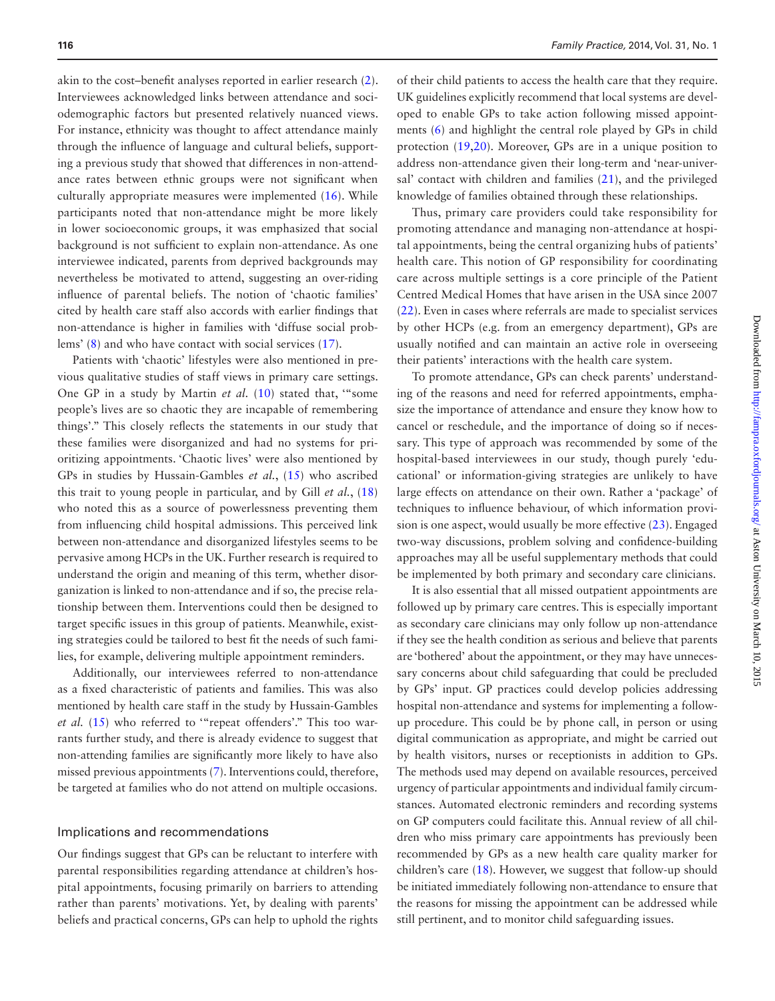akin to the cost–benefit analyses reported in earlier research [\(2\)](#page-6-1). Interviewees acknowledged links between attendance and sociodemographic factors but presented relatively nuanced views. For instance, ethnicity was thought to affect attendance mainly through the influence of language and cultural beliefs, supporting a previous study that showed that differences in non-attendance rates between ethnic groups were not significant when culturally appropriate measures were implemented ([16\)](#page-6-15). While participants noted that non-attendance might be more likely in lower socioeconomic groups, it was emphasized that social background is not sufficient to explain non-attendance. As one interviewee indicated, parents from deprived backgrounds may nevertheless be motivated to attend, suggesting an over-riding influence of parental beliefs. The notion of 'chaotic families' cited by health care staff also accords with earlier findings that non-attendance is higher in families with 'diffuse social problems' ([8\)](#page-6-7) and who have contact with social services ([17\)](#page-6-16).

Patients with 'chaotic' lifestyles were also mentioned in previous qualitative studies of staff views in primary care settings. One GP in a study by Martin *et al.* ([10\)](#page-6-9) stated that, "some people's lives are so chaotic they are incapable of remembering things'." This closely reflects the statements in our study that these families were disorganized and had no systems for prioritizing appointments. 'Chaotic lives' were also mentioned by GPs in studies by Hussain-Gambles *et al.*, ([15](#page-6-14)) who ascribed this trait to young people in particular, and by Gill *et al.*, [\(18\)](#page-6-17) who noted this as a source of powerlessness preventing them from influencing child hospital admissions. This perceived link between non-attendance and disorganized lifestyles seems to be pervasive among HCPs in the UK. Further research is required to understand the origin and meaning of this term, whether disorganization is linked to non-attendance and if so, the precise relationship between them. Interventions could then be designed to target specific issues in this group of patients. Meanwhile, existing strategies could be tailored to best fit the needs of such families, for example, delivering multiple appointment reminders.

Additionally, our interviewees referred to non-attendance as a fixed characteristic of patients and families. This was also mentioned by health care staff in the study by Hussain-Gambles *et al.* [\(15](#page-6-14)) who referred to '"repeat offenders'." This too warrants further study, and there is already evidence to suggest that non-attending families are significantly more likely to have also missed previous appointments ([7\)](#page-6-6). Interventions could, therefore, be targeted at families who do not attend on multiple occasions.

#### Implications and recommendations

Our findings suggest that GPs can be reluctant to interfere with parental responsibilities regarding attendance at children's hospital appointments, focusing primarily on barriers to attending rather than parents' motivations. Yet, by dealing with parents' beliefs and practical concerns, GPs can help to uphold the rights

of their child patients to access the health care that they require. UK guidelines explicitly recommend that local systems are developed to enable GPs to take action following missed appointments ([6\)](#page-6-5) and highlight the central role played by GPs in child protection ([19](#page-6-18)[,20\)](#page-6-19). Moreover, GPs are in a unique position to address non-attendance given their long-term and 'near-univer-sal' contact with children and families [\(21\)](#page-6-20), and the privileged knowledge of families obtained through these relationships.

Thus, primary care providers could take responsibility for promoting attendance and managing non-attendance at hospital appointments, being the central organizing hubs of patients' health care. This notion of GP responsibility for coordinating care across multiple settings is a core principle of the Patient Centred Medical Homes that have arisen in the USA since 2007 ([22](#page-6-21)). Even in cases where referrals are made to specialist services by other HCPs (e.g. from an emergency department), GPs are usually notified and can maintain an active role in overseeing their patients' interactions with the health care system.

To promote attendance, GPs can check parents' understanding of the reasons and need for referred appointments, emphasize the importance of attendance and ensure they know how to cancel or reschedule, and the importance of doing so if necessary. This type of approach was recommended by some of the hospital-based interviewees in our study, though purely 'educational' or information-giving strategies are unlikely to have large effects on attendance on their own. Rather a 'package' of techniques to influence behaviour, of which information provision is one aspect, would usually be more effective ([23\)](#page-6-22). Engaged two-way discussions, problem solving and confidence-building approaches may all be useful supplementary methods that could be implemented by both primary and secondary care clinicians.

It is also essential that all missed outpatient appointments are followed up by primary care centres. This is especially important as secondary care clinicians may only follow up non-attendance if they see the health condition as serious and believe that parents are 'bothered' about the appointment, or they may have unnecessary concerns about child safeguarding that could be precluded by GPs' input. GP practices could develop policies addressing hospital non-attendance and systems for implementing a followup procedure. This could be by phone call, in person or using digital communication as appropriate, and might be carried out by health visitors, nurses or receptionists in addition to GPs. The methods used may depend on available resources, perceived urgency of particular appointments and individual family circumstances. Automated electronic reminders and recording systems on GP computers could facilitate this. Annual review of all children who miss primary care appointments has previously been recommended by GPs as a new health care quality marker for children's care [\(18\)](#page-6-17). However, we suggest that follow-up should be initiated immediately following non-attendance to ensure that the reasons for missing the appointment can be addressed while still pertinent, and to monitor child safeguarding issues.